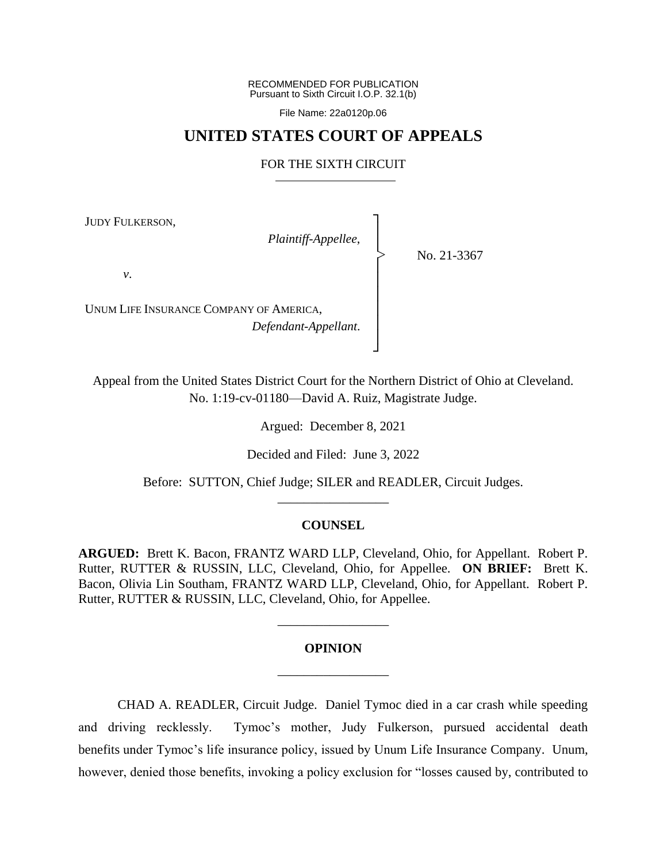RECOMMENDED FOR PUBLICATION Pursuant to Sixth Circuit I.O.P. 32.1(b)

File Name: 22a0120p.06

## **UNITED STATES COURT OF APPEALS**

### FOR THE SIXTH CIRCUIT

┐ │ │ │ │ │ │ │ │ ┘

|<br>|<br>|

JUDY FULKERSON,

*Plaintiff-Appellee*,

No. 21-3367

*v*.

UNUM LIFE INSURANCE COMPANY OF AMERICA, *Defendant-Appellant*.

Appeal from the United States District Court for the Northern District of Ohio at Cleveland. No. 1:19-cv-01180—David A. Ruiz, Magistrate Judge.

Argued: December 8, 2021

Decided and Filed: June 3, 2022

Before: SUTTON, Chief Judge; SILER and READLER, Circuit Judges. \_\_\_\_\_\_\_\_\_\_\_\_\_\_\_\_\_

#### **COUNSEL**

**ARGUED:** Brett K. Bacon, FRANTZ WARD LLP, Cleveland, Ohio, for Appellant. Robert P. Rutter, RUTTER & RUSSIN, LLC, Cleveland, Ohio, for Appellee. **ON BRIEF:** Brett K. Bacon, Olivia Lin Southam, FRANTZ WARD LLP, Cleveland, Ohio, for Appellant. Robert P. Rutter, RUTTER & RUSSIN, LLC, Cleveland, Ohio, for Appellee.

# **OPINION** \_\_\_\_\_\_\_\_\_\_\_\_\_\_\_\_\_

\_\_\_\_\_\_\_\_\_\_\_\_\_\_\_\_\_

CHAD A. READLER, Circuit Judge. Daniel Tymoc died in a car crash while speeding and driving recklessly. Tymoc's mother, Judy Fulkerson, pursued accidental death benefits under Tymoc's life insurance policy, issued by Unum Life Insurance Company. Unum, however, denied those benefits, invoking a policy exclusion for "losses caused by, contributed to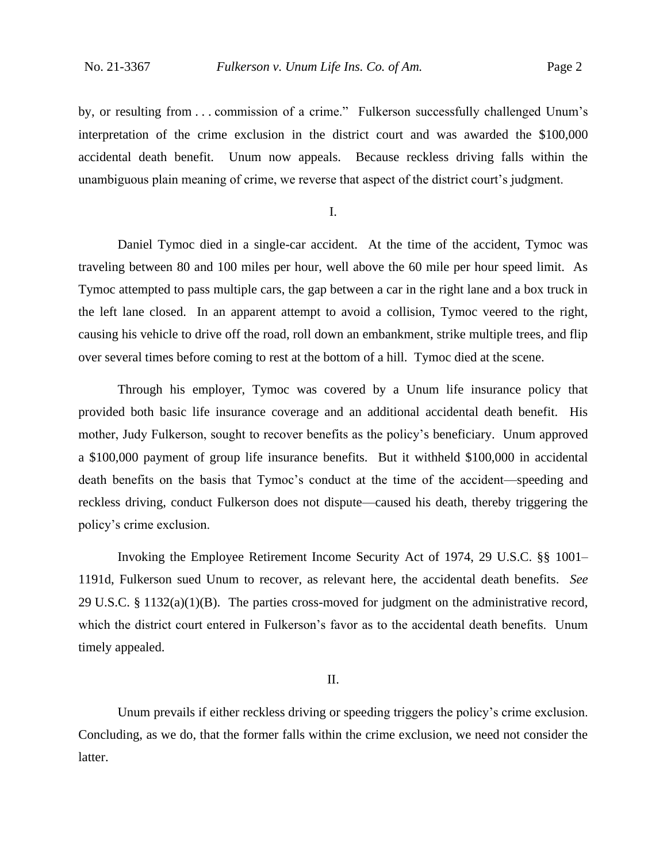by, or resulting from . . . commission of a crime." Fulkerson successfully challenged Unum's interpretation of the crime exclusion in the district court and was awarded the \$100,000 accidental death benefit. Unum now appeals. Because reckless driving falls within the unambiguous plain meaning of crime, we reverse that aspect of the district court's judgment.

I.

Daniel Tymoc died in a single-car accident. At the time of the accident, Tymoc was traveling between 80 and 100 miles per hour, well above the 60 mile per hour speed limit. As Tymoc attempted to pass multiple cars, the gap between a car in the right lane and a box truck in the left lane closed. In an apparent attempt to avoid a collision, Tymoc veered to the right, causing his vehicle to drive off the road, roll down an embankment, strike multiple trees, and flip over several times before coming to rest at the bottom of a hill. Tymoc died at the scene.

Through his employer, Tymoc was covered by a Unum life insurance policy that provided both basic life insurance coverage and an additional accidental death benefit. His mother, Judy Fulkerson, sought to recover benefits as the policy's beneficiary. Unum approved a \$100,000 payment of group life insurance benefits. But it withheld \$100,000 in accidental death benefits on the basis that Tymoc's conduct at the time of the accident—speeding and reckless driving, conduct Fulkerson does not dispute—caused his death, thereby triggering the policy's crime exclusion.

Invoking the Employee Retirement Income Security Act of 1974, 29 U.S.C. §§ 1001– 1191d, Fulkerson sued Unum to recover, as relevant here, the accidental death benefits. *See*  29 U.S.C. § 1132(a)(1)(B). The parties cross-moved for judgment on the administrative record, which the district court entered in Fulkerson's favor as to the accidental death benefits. Unum timely appealed.

#### II.

Unum prevails if either reckless driving or speeding triggers the policy's crime exclusion. Concluding, as we do, that the former falls within the crime exclusion, we need not consider the latter.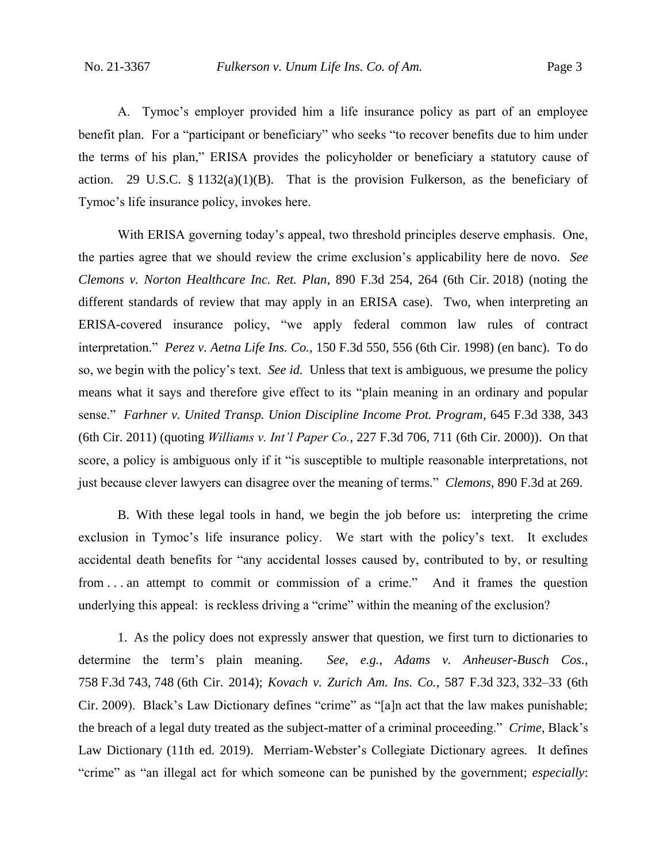A. Tymoc's employer provided him a life insurance policy as part of an employee benefit plan. For a "participant or beneficiary" who seeks "to recover benefits due to him under the terms of his plan," ERISA provides the policyholder or beneficiary a statutory cause of action. 29 U.S.C. § 1132(a)(1)(B). That is the provision Fulkerson, as the beneficiary of Tymoc's life insurance policy, invokes here.

With ERISA governing today's appeal, two threshold principles deserve emphasis. One, the parties agree that we should review the crime exclusion's applicability here de novo. *See Clemons v. Norton Healthcare Inc. Ret. Plan*, 890 F.3d 254, 264 (6th Cir. 2018) (noting the different standards of review that may apply in an ERISA case). Two, when interpreting an ERISA-covered insurance policy, "we apply federal common law rules of contract interpretation." *Perez v. Aetna Life Ins. Co.*, 150 F.3d 550, 556 (6th Cir. 1998) (en banc). To do so, we begin with the policy's text. *See id.* Unless that text is ambiguous, we presume the policy means what it says and therefore give effect to its "plain meaning in an ordinary and popular sense." *Farhner v. United Transp. Union Discipline Income Prot. Program*, 645 F.3d 338, 343 (6th Cir. 2011) (quoting *Williams v. Int'l Paper Co.*, 227 F.3d 706, 711 (6th Cir. 2000)). On that score, a policy is ambiguous only if it "is susceptible to multiple reasonable interpretations, not just because clever lawyers can disagree over the meaning of terms." *Clemons*, 890 F.3d at 269.

B. With these legal tools in hand, we begin the job before us: interpreting the crime exclusion in Tymoc's life insurance policy. We start with the policy's text. It excludes accidental death benefits for "any accidental losses caused by, contributed to by, or resulting from . . . an attempt to commit or commission of a crime." And it frames the question underlying this appeal: is reckless driving a "crime" within the meaning of the exclusion?

1. As the policy does not expressly answer that question, we first turn to dictionaries to determine the term's plain meaning. *See, e.g.*, *Adams v. Anheuser-Busch Cos.*, 758 F.3d 743, 748 (6th Cir. 2014); *Kovach v. Zurich Am. Ins. Co.*, 587 F.3d 323, 332–33 (6th Cir. 2009). Black's Law Dictionary defines "crime" as "[a]n act that the law makes punishable; the breach of a legal duty treated as the subject-matter of a criminal proceeding." *Crime*, Black's Law Dictionary (11th ed. 2019). Merriam-Webster's Collegiate Dictionary agrees. It defines "crime" as "an illegal act for which someone can be punished by the government; *especially*: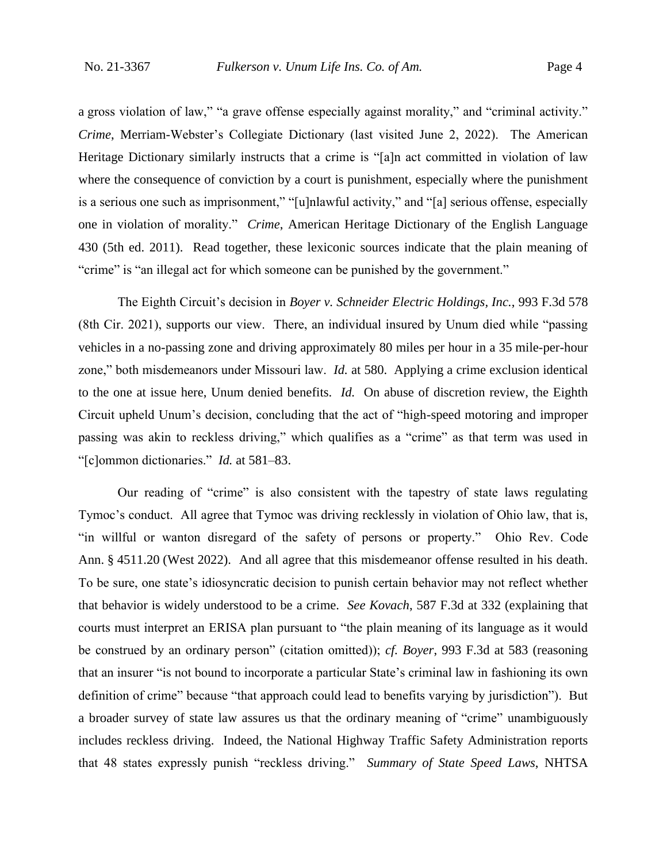a gross violation of law," "a grave offense especially against morality," and "criminal activity." *Crime*, Merriam-Webster's Collegiate Dictionary (last visited June 2, 2022). The American Heritage Dictionary similarly instructs that a crime is "[a]n act committed in violation of law where the consequence of conviction by a court is punishment, especially where the punishment is a serious one such as imprisonment," "[u]nlawful activity," and "[a] serious offense, especially one in violation of morality." *Crime*, American Heritage Dictionary of the English Language 430 (5th ed. 2011). Read together, these lexiconic sources indicate that the plain meaning of "crime" is "an illegal act for which someone can be punished by the government."

The Eighth Circuit's decision in *Boyer v. Schneider Electric Holdings, Inc.*, 993 F.3d 578 (8th Cir. 2021), supports our view. There, an individual insured by Unum died while "passing vehicles in a no-passing zone and driving approximately 80 miles per hour in a 35 mile-per-hour zone," both misdemeanors under Missouri law. *Id.* at 580. Applying a crime exclusion identical to the one at issue here, Unum denied benefits. *Id.* On abuse of discretion review, the Eighth Circuit upheld Unum's decision, concluding that the act of "high-speed motoring and improper passing was akin to reckless driving," which qualifies as a "crime" as that term was used in "[c]ommon dictionaries." *Id.* at 581–83.

Our reading of "crime" is also consistent with the tapestry of state laws regulating Tymoc's conduct. All agree that Tymoc was driving recklessly in violation of Ohio law, that is, "in willful or wanton disregard of the safety of persons or property." Ohio Rev. Code Ann. § 4511.20 (West 2022). And all agree that this misdemeanor offense resulted in his death. To be sure, one state's idiosyncratic decision to punish certain behavior may not reflect whether that behavior is widely understood to be a crime. *See Kovach*, 587 F.3d at 332 (explaining that courts must interpret an ERISA plan pursuant to "the plain meaning of its language as it would be construed by an ordinary person" (citation omitted)); *cf. Boyer*, 993 F.3d at 583 (reasoning that an insurer "is not bound to incorporate a particular State's criminal law in fashioning its own definition of crime" because "that approach could lead to benefits varying by jurisdiction"). But a broader survey of state law assures us that the ordinary meaning of "crime" unambiguously includes reckless driving. Indeed, the National Highway Traffic Safety Administration reports that 48 states expressly punish "reckless driving." *Summary of State Speed Laws*, NHTSA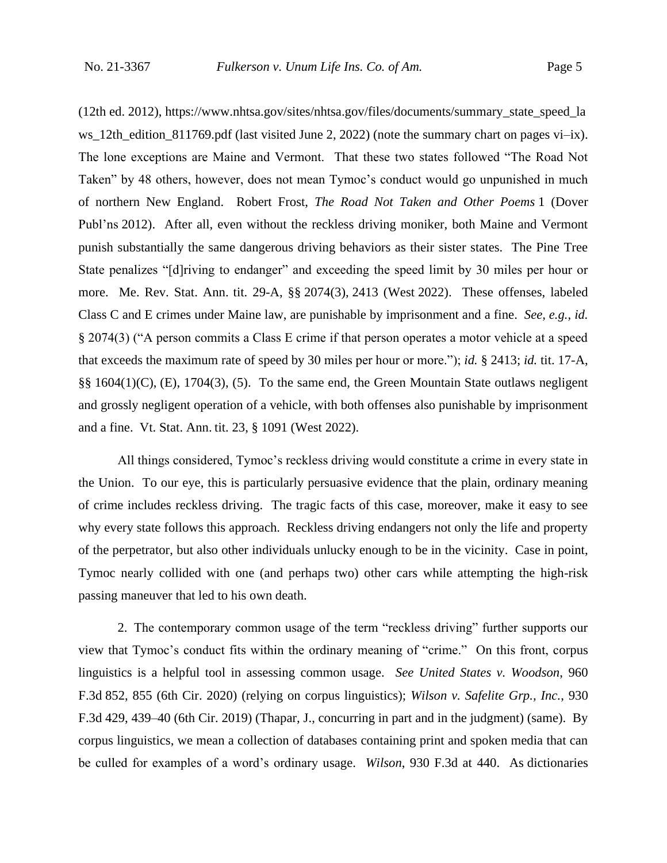(12th ed. 2012), https://www.nhtsa.gov/sites/nhtsa.gov/files/documents/summary\_state\_speed\_la ws 12th edition  $811769$ .pdf (last visited June 2, 2022) (note the summary chart on pages vi–ix). The lone exceptions are Maine and Vermont. That these two states followed "The Road Not Taken" by 48 others, however, does not mean Tymoc's conduct would go unpunished in much of northern New England. Robert Frost, *The Road Not Taken and Other Poems* 1 (Dover Publ'ns 2012). After all, even without the reckless driving moniker, both Maine and Vermont punish substantially the same dangerous driving behaviors as their sister states. The Pine Tree State penalizes "[d]riving to endanger" and exceeding the speed limit by 30 miles per hour or more. Me. Rev. Stat. Ann. tit. 29-A, §§ 2074(3), 2413 (West 2022). These offenses, labeled Class C and E crimes under Maine law, are punishable by imprisonment and a fine. *See, e.g.*, *id.*  § 2074(3) ("A person commits a Class E crime if that person operates a motor vehicle at a speed that exceeds the maximum rate of speed by 30 miles per hour or more."); *id.* § 2413; *id.* tit. 17-A, §§ 1604(1)(C), (E), 1704(3), (5). To the same end, the Green Mountain State outlaws negligent and grossly negligent operation of a vehicle, with both offenses also punishable by imprisonment and a fine. Vt. Stat. Ann. tit. 23, § 1091 (West 2022).

All things considered, Tymoc's reckless driving would constitute a crime in every state in the Union. To our eye, this is particularly persuasive evidence that the plain, ordinary meaning of crime includes reckless driving. The tragic facts of this case, moreover, make it easy to see why every state follows this approach. Reckless driving endangers not only the life and property of the perpetrator, but also other individuals unlucky enough to be in the vicinity. Case in point, Tymoc nearly collided with one (and perhaps two) other cars while attempting the high-risk passing maneuver that led to his own death.

2. The contemporary common usage of the term "reckless driving" further supports our view that Tymoc's conduct fits within the ordinary meaning of "crime." On this front, corpus linguistics is a helpful tool in assessing common usage. *See United States v. Woodson*, 960 F.3d 852, 855 (6th Cir. 2020) (relying on corpus linguistics); *Wilson v. Safelite Grp., Inc.*, 930 F.3d 429, 439–40 (6th Cir. 2019) (Thapar, J., concurring in part and in the judgment) (same). By corpus linguistics, we mean a collection of databases containing print and spoken media that can be culled for examples of a word's ordinary usage. *Wilson*, 930 F.3d at 440. As dictionaries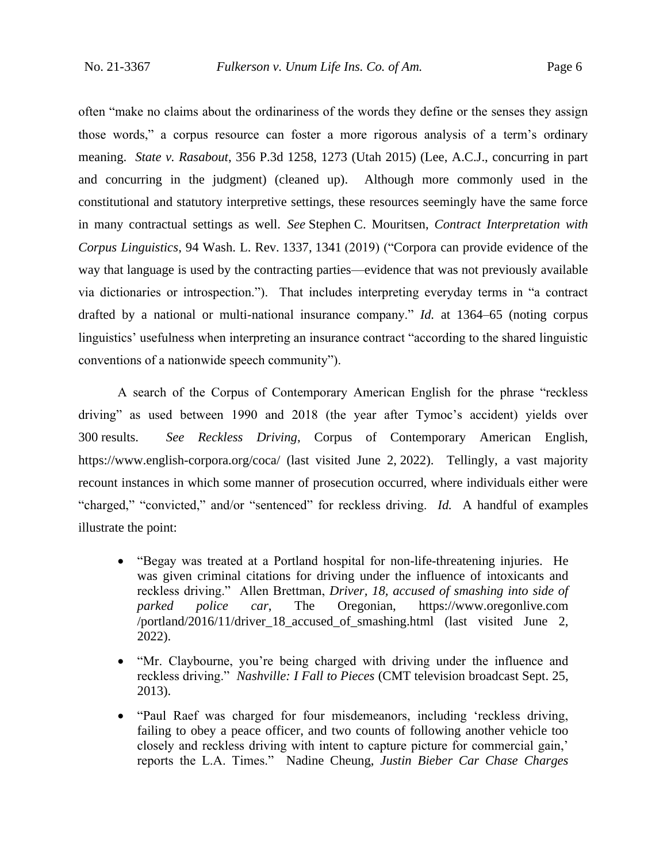often "make no claims about the ordinariness of the words they define or the senses they assign those words," a corpus resource can foster a more rigorous analysis of a term's ordinary meaning. *State v. Rasabout*, 356 P.3d 1258, 1273 (Utah 2015) (Lee, A.C.J., concurring in part and concurring in the judgment) (cleaned up). Although more commonly used in the constitutional and statutory interpretive settings, these resources seemingly have the same force in many contractual settings as well. *See* Stephen C. Mouritsen, *Contract Interpretation with Corpus Linguistics*, 94 Wash. L. Rev. 1337, 1341 (2019) ("Corpora can provide evidence of the way that language is used by the contracting parties—evidence that was not previously available via dictionaries or introspection."). That includes interpreting everyday terms in "a contract drafted by a national or multi-national insurance company." *Id.* at 1364–65 (noting corpus linguistics' usefulness when interpreting an insurance contract "according to the shared linguistic conventions of a nationwide speech community").

A search of the Corpus of Contemporary American English for the phrase "reckless driving" as used between 1990 and 2018 (the year after Tymoc's accident) yields over 300 results. *See Reckless Driving*, Corpus of Contemporary American English, https://www.english-corpora.org/coca/ (last visited June 2, 2022). Tellingly, a vast majority recount instances in which some manner of prosecution occurred, where individuals either were "charged," "convicted," and/or "sentenced" for reckless driving. *Id.* A handful of examples illustrate the point:

- "Begay was treated at a Portland hospital for non-life-threatening injuries. He was given criminal citations for driving under the influence of intoxicants and reckless driving." Allen Brettman, *Driver, 18, accused of smashing into side of parked police car*, The Oregonian, https://www.oregonlive.com /portland/2016/11/driver\_18\_accused\_of\_smashing.html (last visited June 2, 2022).
- "Mr. Claybourne, you're being charged with driving under the influence and reckless driving." *Nashville: I Fall to Pieces* (CMT television broadcast Sept. 25, 2013).
- "Paul Raef was charged for four misdemeanors, including 'reckless driving, failing to obey a peace officer, and two counts of following another vehicle too closely and reckless driving with intent to capture picture for commercial gain,' reports the L.A. Times." Nadine Cheung, *Justin Bieber Car Chase Charges*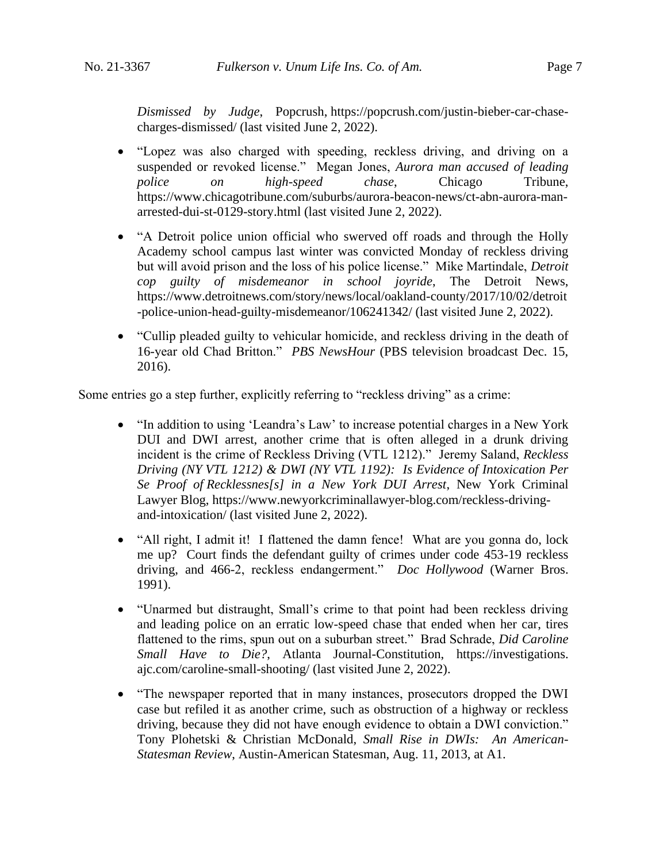*Dismissed by Judge*, Popcrush, https://popcrush.com/justin-bieber-car-chasecharges-dismissed/ (last visited June 2, 2022).

- "Lopez was also charged with speeding, reckless driving, and driving on a suspended or revoked license." Megan Jones, *Aurora man accused of leading police on high-speed chase*, Chicago Tribune, https://www.chicagotribune.com/suburbs/aurora-beacon-news/ct-abn-aurora-manarrested-dui-st-0129-story.html (last visited June 2, 2022).
- "A Detroit police union official who swerved off roads and through the Holly Academy school campus last winter was convicted Monday of reckless driving but will avoid prison and the loss of his police license." Mike Martindale, *Detroit cop guilty of misdemeanor in school joyride*, The Detroit News, https://www.detroitnews.com/story/news/local/oakland-county/2017/10/02/detroit -police-union-head-guilty-misdemeanor/106241342/ (last visited June 2, 2022).
- "Cullip pleaded guilty to vehicular homicide, and reckless driving in the death of 16-year old Chad Britton." *PBS NewsHour* (PBS television broadcast Dec. 15, 2016).

Some entries go a step further, explicitly referring to "reckless driving" as a crime:

- "In addition to using 'Leandra's Law' to increase potential charges in a New York DUI and DWI arrest, another crime that is often alleged in a drunk driving incident is the crime of Reckless Driving (VTL 1212)." Jeremy Saland, *Reckless Driving (NY VTL 1212) & DWI (NY VTL 1192): Is Evidence of Intoxication Per Se Proof of Recklessnes[s] in a New York DUI Arrest*, New York Criminal Lawyer Blog, https://www.newyorkcriminallawyer-blog.com/reckless-drivingand-intoxication/ (last visited June 2, 2022).
- "All right, I admit it! I flattened the damn fence! What are you gonna do, lock me up? Court finds the defendant guilty of crimes under code 453-19 reckless driving, and 466-2, reckless endangerment." *Doc Hollywood* (Warner Bros. 1991).
- "Unarmed but distraught, Small's crime to that point had been reckless driving and leading police on an erratic low-speed chase that ended when her car, tires flattened to the rims, spun out on a suburban street." Brad Schrade, *Did Caroline Small Have to Die?*, Atlanta Journal-Constitution, https://investigations. ajc.com/caroline-small-shooting/ (last visited June 2, 2022).
- "The newspaper reported that in many instances, prosecutors dropped the DWI case but refiled it as another crime, such as obstruction of a highway or reckless driving, because they did not have enough evidence to obtain a DWI conviction." Tony Plohetski & Christian McDonald, *Small Rise in DWIs: An American-Statesman Review*, Austin-American Statesman, Aug. 11, 2013, at A1.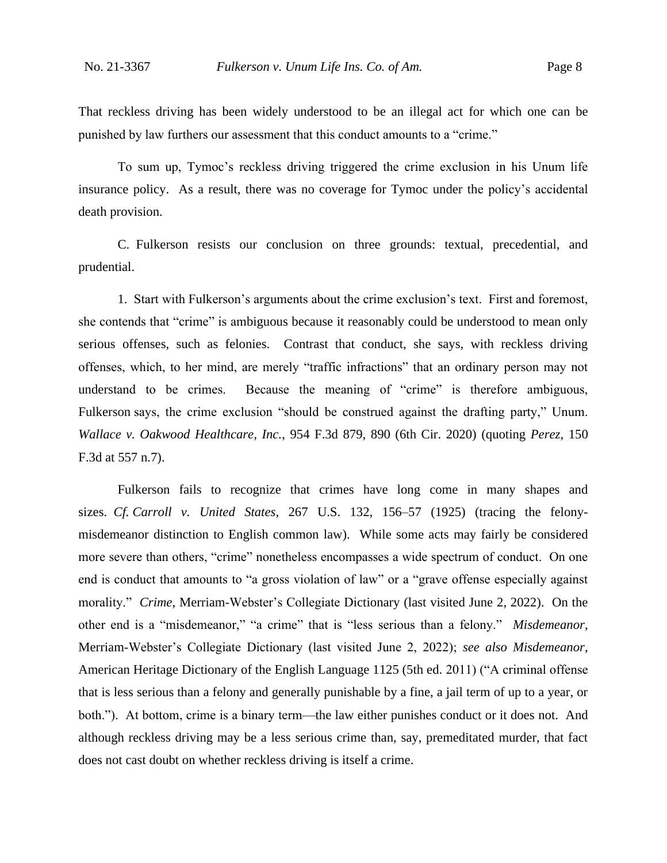That reckless driving has been widely understood to be an illegal act for which one can be punished by law furthers our assessment that this conduct amounts to a "crime."

To sum up, Tymoc's reckless driving triggered the crime exclusion in his Unum life insurance policy. As a result, there was no coverage for Tymoc under the policy's accidental death provision.

C. Fulkerson resists our conclusion on three grounds: textual, precedential, and prudential.

1. Start with Fulkerson's arguments about the crime exclusion's text. First and foremost, she contends that "crime" is ambiguous because it reasonably could be understood to mean only serious offenses, such as felonies. Contrast that conduct, she says, with reckless driving offenses, which, to her mind, are merely "traffic infractions" that an ordinary person may not understand to be crimes. Because the meaning of "crime" is therefore ambiguous, Fulkerson says, the crime exclusion "should be construed against the drafting party," Unum. *Wallace v. Oakwood Healthcare, Inc.*, 954 F.3d 879, 890 (6th Cir. 2020) (quoting *Perez*, 150 F.3d at 557 n.7).

Fulkerson fails to recognize that crimes have long come in many shapes and sizes. *Cf. Carroll v. United States*, 267 U.S. 132, 156–57 (1925) (tracing the felonymisdemeanor distinction to English common law). While some acts may fairly be considered more severe than others, "crime" nonetheless encompasses a wide spectrum of conduct. On one end is conduct that amounts to "a gross violation of law" or a "grave offense especially against morality." *Crime*, Merriam-Webster's Collegiate Dictionary (last visited June 2, 2022). On the other end is a "misdemeanor," "a crime" that is "less serious than a felony." *Misdemeanor*, Merriam-Webster's Collegiate Dictionary (last visited June 2, 2022); *see also Misdemeanor*, American Heritage Dictionary of the English Language 1125 (5th ed. 2011) ("A criminal offense that is less serious than a felony and generally punishable by a fine, a jail term of up to a year, or both."). At bottom, crime is a binary term—the law either punishes conduct or it does not. And although reckless driving may be a less serious crime than, say, premeditated murder, that fact does not cast doubt on whether reckless driving is itself a crime.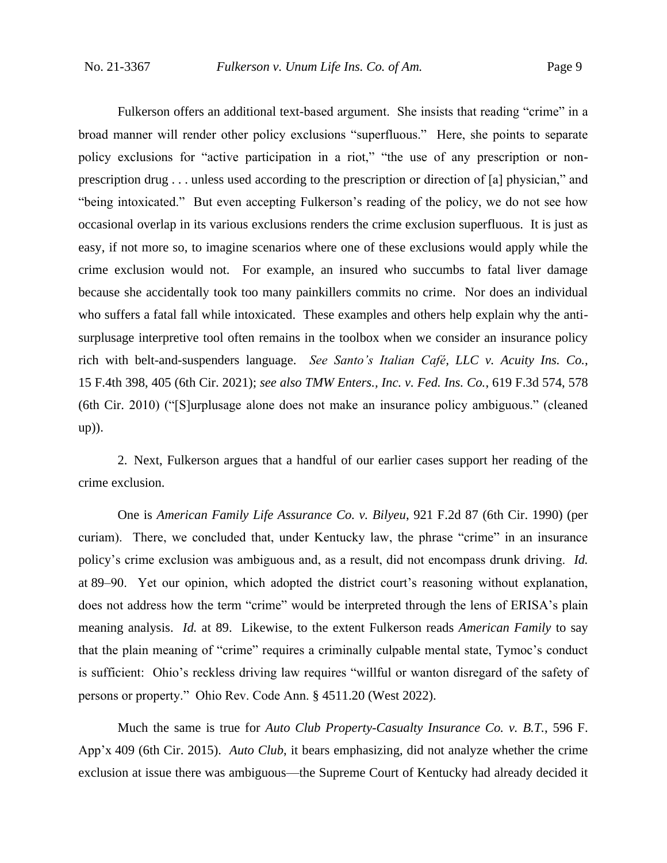Fulkerson offers an additional text-based argument. She insists that reading "crime" in a broad manner will render other policy exclusions "superfluous." Here, she points to separate policy exclusions for "active participation in a riot," "the use of any prescription or nonprescription drug . . . unless used according to the prescription or direction of [a] physician," and "being intoxicated." But even accepting Fulkerson's reading of the policy, we do not see how occasional overlap in its various exclusions renders the crime exclusion superfluous. It is just as easy, if not more so, to imagine scenarios where one of these exclusions would apply while the crime exclusion would not. For example, an insured who succumbs to fatal liver damage because she accidentally took too many painkillers commits no crime. Nor does an individual who suffers a fatal fall while intoxicated. These examples and others help explain why the antisurplusage interpretive tool often remains in the toolbox when we consider an insurance policy rich with belt-and-suspenders language. *See Santo's Italian Café, LLC v. Acuity Ins. Co.*, 15 F.4th 398, 405 (6th Cir. 2021); *see also TMW Enters., Inc. v. Fed. Ins. Co.*, 619 F.3d 574, 578 (6th Cir. 2010) ("[S]urplusage alone does not make an insurance policy ambiguous." (cleaned up)).

2. Next, Fulkerson argues that a handful of our earlier cases support her reading of the crime exclusion.

One is *American Family Life Assurance Co. v. Bilyeu*, 921 F.2d 87 (6th Cir. 1990) (per curiam). There, we concluded that, under Kentucky law, the phrase "crime" in an insurance policy's crime exclusion was ambiguous and, as a result, did not encompass drunk driving. *Id.* at 89–90. Yet our opinion, which adopted the district court's reasoning without explanation, does not address how the term "crime" would be interpreted through the lens of ERISA's plain meaning analysis. *Id.* at 89. Likewise, to the extent Fulkerson reads *American Family* to say that the plain meaning of "crime" requires a criminally culpable mental state, Tymoc's conduct is sufficient: Ohio's reckless driving law requires "willful or wanton disregard of the safety of persons or property." Ohio Rev. Code Ann. § 4511.20 (West 2022).

Much the same is true for *Auto Club Property-Casualty Insurance Co. v. B.T.*, 596 F. App'x 409 (6th Cir. 2015). *Auto Club*, it bears emphasizing, did not analyze whether the crime exclusion at issue there was ambiguous—the Supreme Court of Kentucky had already decided it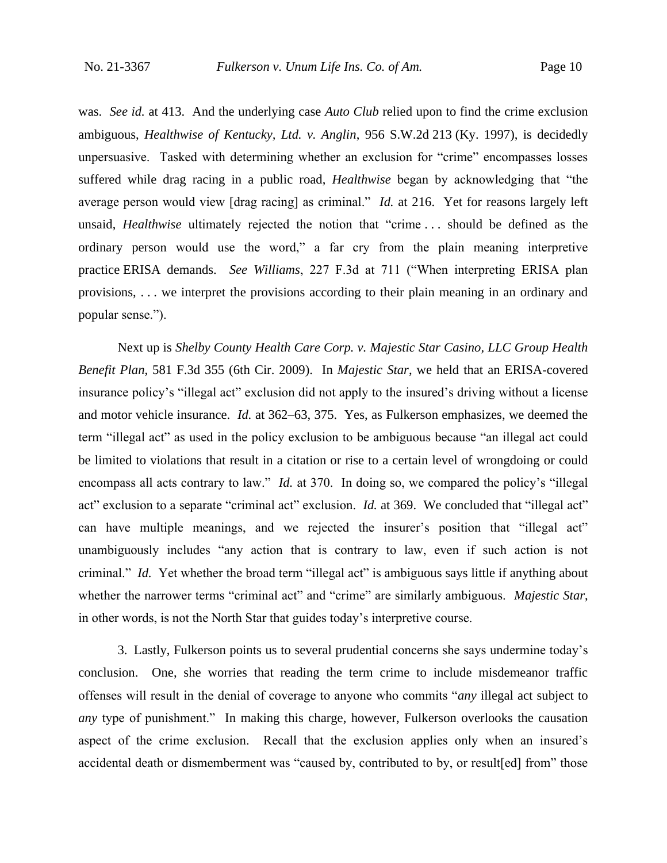was. *See id.* at 413. And the underlying case *Auto Club* relied upon to find the crime exclusion ambiguous, *Healthwise of Kentucky, Ltd. v. Anglin*, 956 S.W.2d 213 (Ky. 1997), is decidedly unpersuasive. Tasked with determining whether an exclusion for "crime" encompasses losses suffered while drag racing in a public road, *Healthwise* began by acknowledging that "the average person would view [drag racing] as criminal." *Id.* at 216. Yet for reasons largely left unsaid, *Healthwise* ultimately rejected the notion that "crime . . . should be defined as the ordinary person would use the word," a far cry from the plain meaning interpretive practice ERISA demands. *See Williams*, 227 F.3d at 711 ("When interpreting ERISA plan provisions, . . . we interpret the provisions according to their plain meaning in an ordinary and popular sense.").

Next up is *Shelby County Health Care Corp. v. Majestic Star Casino, LLC Group Health Benefit Plan*, 581 F.3d 355 (6th Cir. 2009). In *Majestic Star*, we held that an ERISA-covered insurance policy's "illegal act" exclusion did not apply to the insured's driving without a license and motor vehicle insurance. *Id.* at 362–63, 375. Yes, as Fulkerson emphasizes, we deemed the term "illegal act" as used in the policy exclusion to be ambiguous because "an illegal act could be limited to violations that result in a citation or rise to a certain level of wrongdoing or could encompass all acts contrary to law." *Id.* at 370. In doing so, we compared the policy's "illegal act" exclusion to a separate "criminal act" exclusion. *Id.* at 369. We concluded that "illegal act" can have multiple meanings, and we rejected the insurer's position that "illegal act" unambiguously includes "any action that is contrary to law, even if such action is not criminal." *Id.* Yet whether the broad term "illegal act" is ambiguous says little if anything about whether the narrower terms "criminal act" and "crime" are similarly ambiguous. *Majestic Star*, in other words, is not the North Star that guides today's interpretive course.

3. Lastly, Fulkerson points us to several prudential concerns she says undermine today's conclusion. One, she worries that reading the term crime to include misdemeanor traffic offenses will result in the denial of coverage to anyone who commits "*any* illegal act subject to *any* type of punishment." In making this charge, however, Fulkerson overlooks the causation aspect of the crime exclusion. Recall that the exclusion applies only when an insured's accidental death or dismemberment was "caused by, contributed to by, or result[ed] from" those